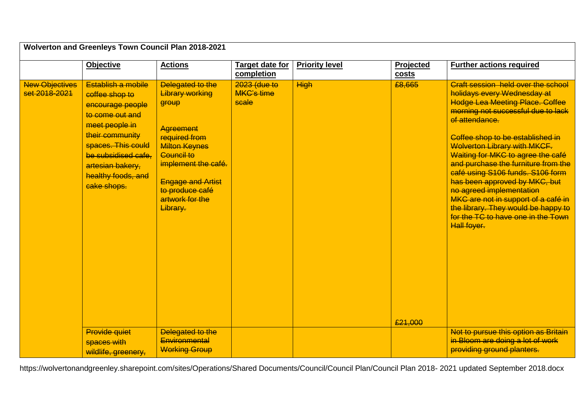| Wolverton and Greenleys Town Council Plan 2018-2021 |                                                                                                                                                                                                                        |                                                                                                                                                                                                                                            |                                            |                       |                    |                                                                                                                                                                                                                                                                                                                                                                                                                                                                                                                                                                |  |
|-----------------------------------------------------|------------------------------------------------------------------------------------------------------------------------------------------------------------------------------------------------------------------------|--------------------------------------------------------------------------------------------------------------------------------------------------------------------------------------------------------------------------------------------|--------------------------------------------|-----------------------|--------------------|----------------------------------------------------------------------------------------------------------------------------------------------------------------------------------------------------------------------------------------------------------------------------------------------------------------------------------------------------------------------------------------------------------------------------------------------------------------------------------------------------------------------------------------------------------------|--|
|                                                     | <b>Objective</b>                                                                                                                                                                                                       | <b>Actions</b>                                                                                                                                                                                                                             | Target date for<br>completion              | <b>Priority level</b> | Projected<br>costs | <b>Further actions required</b>                                                                                                                                                                                                                                                                                                                                                                                                                                                                                                                                |  |
| <b>New Objectives</b><br>set 2018-2021              | Establish a mobile<br>coffee shop to<br>encourage people<br>to come out and<br>meet people in<br>their community<br>spaces. This could<br>be subsidised cafe,<br>artesian bakery,<br>healthy foods, and<br>cake shops. | Delegated to the<br><b>Library working</b><br>group<br><b>Agreement</b><br>required from<br><b>Milton Keynes</b><br><b>Council to</b><br>implement the café.<br><b>Engage and Artist</b><br>to produce café<br>artwork for the<br>Library. | 2023 (due to<br><b>MKC's time</b><br>scale | <b>High</b>           | £8,665<br>£21,000  | Craft session held over the school<br>holidays every Wednesday at<br>Hodge Lea Meeting Place. Coffee<br>morning not successful due to lack<br>of attendance.<br>Coffee shop to be established in<br><b>Welverton Library with MKCF.</b><br>Waiting for MKC to agree the café<br>and purchase the furniture from the<br>café using S106 funds. S106 form<br>has been approved by MKC, but<br>no agreed implementation<br>MKC are not in support of a café in<br>the library. They would be happy to<br>for the TC to have one in the Town<br><b>Hall foyer.</b> |  |
|                                                     | <b>Provide quiet</b><br>spaces with<br>wildlife, greenery,                                                                                                                                                             | Delegated to the<br>Environmental<br><b>Working Group</b>                                                                                                                                                                                  |                                            |                       |                    | Not to pursue this option as Britain<br>in Bloom are doing a lot of work<br>providing ground planters.                                                                                                                                                                                                                                                                                                                                                                                                                                                         |  |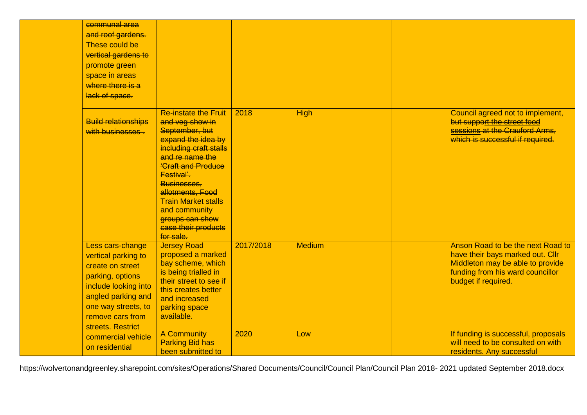| communal area<br>and roof gardens.<br><b>These could be</b><br>vertical gardens to<br>promote green<br>space in areas<br>where there is a<br>lack of space.                                   |                                                                                                                                                                                                                                                                                                                         |           |               |                                                                                                                                                                      |
|-----------------------------------------------------------------------------------------------------------------------------------------------------------------------------------------------|-------------------------------------------------------------------------------------------------------------------------------------------------------------------------------------------------------------------------------------------------------------------------------------------------------------------------|-----------|---------------|----------------------------------------------------------------------------------------------------------------------------------------------------------------------|
| <b>Build relationships</b><br>with businesses-.                                                                                                                                               | <b>Re-instate the Fruit</b><br>and veg show in<br>September, but<br>expand the idea by<br>including craft stalls<br>and re name the<br><b>'Craft and Produce</b><br>Festival'.<br>Businesses.<br>allotments, Food<br><b>Train Market stalls</b><br>and community<br>groups can show<br>case their products<br>for sale. | 2018      | <b>High</b>   | Council agreed not to implement,<br>but support the street food<br>sessions at the Crauford Arms,<br>which is successful if required.                                |
| Less cars-change<br>vertical parking to<br>create on street<br>parking, options<br>include looking into<br>angled parking and<br>one way streets, to<br>remove cars from<br>streets. Restrict | <b>Jersey Road</b><br>proposed a marked<br>bay scheme, which<br>is being trialled in<br>their street to see if<br>this creates better<br>and increased<br>parking space<br>available.                                                                                                                                   | 2017/2018 | <b>Medium</b> | Anson Road to be the next Road to<br>have their bays marked out. Cllr<br>Middleton may be able to provide<br>funding from his ward councillor<br>budget if required. |
| commercial vehicle<br>on residential                                                                                                                                                          | A Community<br><b>Parking Bid has</b><br>been submitted to                                                                                                                                                                                                                                                              | 2020      | Low           | If funding is successful, proposals<br>will need to be consulted on with<br>residents. Any successful                                                                |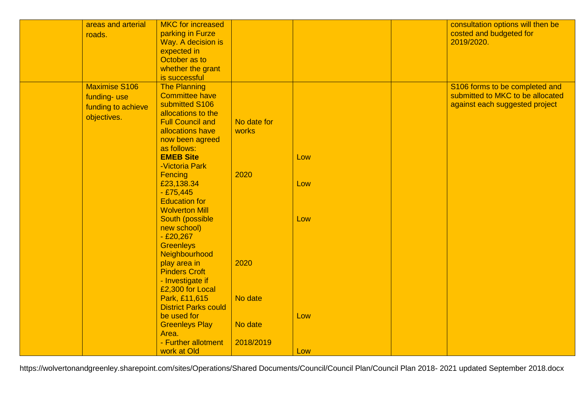| areas and arterial   | <b>MKC</b> for increased                     |             |     | consultation options will then be |
|----------------------|----------------------------------------------|-------------|-----|-----------------------------------|
| roads.               | parking in Furze                             |             |     | costed and budgeted for           |
|                      | Way. A decision is                           |             |     | 2019/2020.                        |
|                      | expected in                                  |             |     |                                   |
|                      | October as to                                |             |     |                                   |
|                      | whether the grant                            |             |     |                                   |
|                      | is successful                                |             |     |                                   |
| <b>Maximise S106</b> | <b>The Planning</b>                          |             |     | S106 forms to be completed and    |
| funding-use          | <b>Committee have</b>                        |             |     | submitted to MKC to be allocated  |
|                      | submitted S106                               |             |     | against each suggested project    |
| funding to achieve   | allocations to the                           |             |     |                                   |
| objectives.          | <b>Full Council and</b>                      | No date for |     |                                   |
|                      | allocations have                             | works       |     |                                   |
|                      | now been agreed                              |             |     |                                   |
|                      | as follows:                                  |             |     |                                   |
|                      | <b>EMEB Site</b>                             |             | Low |                                   |
|                      | -Victoria Park                               |             |     |                                   |
|                      | Fencing                                      | 2020        |     |                                   |
|                      | £23,138.34                                   |             | Low |                                   |
|                      | $-£75,445$                                   |             |     |                                   |
|                      | <b>Education</b> for                         |             |     |                                   |
|                      | <b>Wolverton Mill</b>                        |             |     |                                   |
|                      | South (possible                              |             | Low |                                   |
|                      | new school)                                  |             |     |                                   |
|                      | $-£20,267$                                   |             |     |                                   |
|                      | <b>Greenleys</b>                             |             |     |                                   |
|                      | Neighbourhood                                |             |     |                                   |
|                      |                                              | 2020        |     |                                   |
|                      | play area in<br><b>Pinders Croft</b>         |             |     |                                   |
|                      |                                              |             |     |                                   |
|                      | - Investigate if<br>£2,300 for Local         |             |     |                                   |
|                      |                                              | No date     |     |                                   |
|                      | Park, £11,615<br><b>District Parks could</b> |             |     |                                   |
|                      | be used for                                  |             |     |                                   |
|                      |                                              | No date     | Low |                                   |
|                      | <b>Greenleys Play</b><br>Area.               |             |     |                                   |
|                      |                                              |             |     |                                   |
|                      | - Further allotment                          | 2018/2019   |     |                                   |
|                      | work at Old                                  |             | Low |                                   |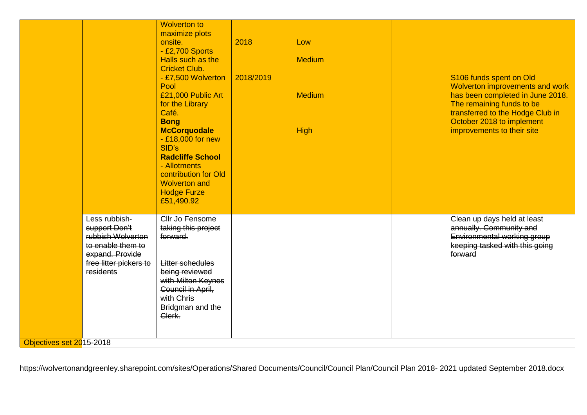|                          |                                                                                                                                    | <b>Wolverton to</b><br>maximize plots<br>onsite.<br>- £2,700 Sports<br>Halls such as the<br><b>Cricket Club.</b><br>- £7,500 Wolverton<br>Pool<br>£21,000 Public Art<br>for the Library<br>Café.<br><b>Bong</b><br><b>McCorquodale</b><br>$-$ £18,000 for new<br>SID's<br><b>Radcliffe School</b><br>- Allotments<br>contribution for Old<br><b>Wolverton and</b><br><b>Hodge Furze</b><br>£51,490.92 | 2018<br>2018/2019 | Low<br><b>Medium</b><br><b>Medium</b><br>High | S106 funds spent on Old<br>Wolverton improvements and work<br>has been completed in June 2018.<br>The remaining funds to be<br>transferred to the Hodge Club in<br>October 2018 to implement<br>improvements to their site |
|--------------------------|------------------------------------------------------------------------------------------------------------------------------------|-------------------------------------------------------------------------------------------------------------------------------------------------------------------------------------------------------------------------------------------------------------------------------------------------------------------------------------------------------------------------------------------------------|-------------------|-----------------------------------------------|----------------------------------------------------------------------------------------------------------------------------------------------------------------------------------------------------------------------------|
|                          | Less rubbish-<br>support Don't<br>rubbish Wolverton<br>to enable them to<br>expand. Provide<br>free litter pickers to<br>residents | Cllr Jo Fensome<br>taking this project<br>forward.<br><b>Litter schedules</b><br>being reviewed<br>with Milton Keynes<br>Council in April,<br>with Chris<br>Bridgman and the<br>Clerk.                                                                                                                                                                                                                |                   |                                               | Clean up days held at least<br>annually. Community and<br>Environmental working group<br>keeping tasked with this going<br>forward                                                                                         |
| Objectives set 2015-2018 |                                                                                                                                    |                                                                                                                                                                                                                                                                                                                                                                                                       |                   |                                               |                                                                                                                                                                                                                            |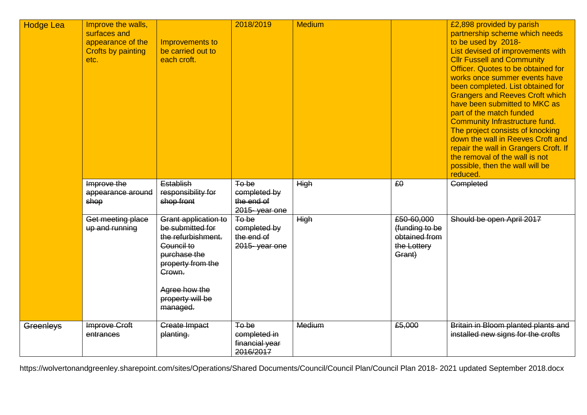| <b>Hodge Lea</b> | Improve the walls,<br>surfaces and<br>appearance of the<br><b>Crofts by painting</b><br>etc. | Improvements to<br>be carried out to<br>each croft.                                                                                                                          | 2018/2019                                            | <b>Medium</b> |                                                                        | £2,898 provided by parish<br>partnership scheme which needs<br>to be used by 2018-<br>List devised of improvements with<br><b>Cllr Fussell and Community</b><br>Officer. Quotes to be obtained for<br>works once summer events have<br>been completed. List obtained for<br><b>Grangers and Reeves Croft which</b><br>have been submitted to MKC as<br>part of the match funded<br><b>Community Infrastructure fund.</b><br>The project consists of knocking<br>down the wall in Reeves Croft and<br>repair the wall in Grangers Croft. If<br>the removal of the wall is not<br>possible, then the wall will be<br>reduced. |
|------------------|----------------------------------------------------------------------------------------------|------------------------------------------------------------------------------------------------------------------------------------------------------------------------------|------------------------------------------------------|---------------|------------------------------------------------------------------------|-----------------------------------------------------------------------------------------------------------------------------------------------------------------------------------------------------------------------------------------------------------------------------------------------------------------------------------------------------------------------------------------------------------------------------------------------------------------------------------------------------------------------------------------------------------------------------------------------------------------------------|
|                  | Improve the<br>appearance around<br>shop                                                     | Establish<br>responsibility for<br>shop front                                                                                                                                | To be<br>completed by<br>the end of<br>2015-year one | <b>High</b>   | £0                                                                     | <b>Completed</b>                                                                                                                                                                                                                                                                                                                                                                                                                                                                                                                                                                                                            |
|                  | Get meeting place<br>up and running                                                          | Grant application to<br>be submitted for<br>the refurbishment.<br>Council to<br>purchase the<br>property from the<br>Crown.<br>Agree how the<br>property will be<br>managed. | To be<br>completed by<br>the end of<br>2015-year one | <b>High</b>   | £50-60,000<br>(funding to be<br>obtained from<br>the Lottery<br>Grant) | Should be open April 2017                                                                                                                                                                                                                                                                                                                                                                                                                                                                                                                                                                                                   |
| Greenleys        | Improve Croft<br>entrances                                                                   | <b>Create Impact</b><br>planting.                                                                                                                                            | To be<br>completed in<br>financial year<br>2016/2017 | Medium        | £5,000                                                                 | Britain in Bloom planted plants and<br>installed new signs for the crofts                                                                                                                                                                                                                                                                                                                                                                                                                                                                                                                                                   |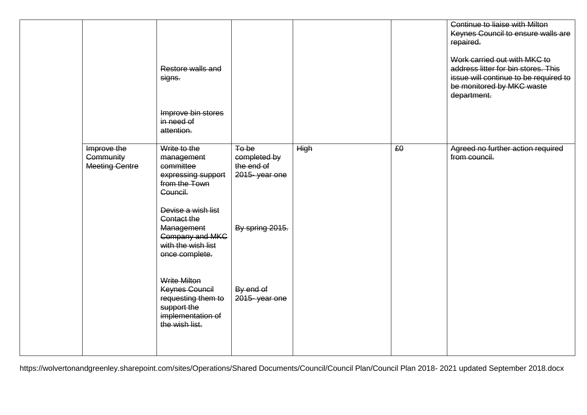|                                                          | Restore walls and<br>signs.<br>Improve bin stores<br>in need of<br>attention.                                     |                                                      |             |    | Continue to liaise with Milton<br>Keynes Council to ensure walls are<br>repaired.<br>Work carried out with MKC to<br>address litter for bin stores. This<br>issue will continue to be required to<br>be monitored by MKC waste<br>department. |
|----------------------------------------------------------|-------------------------------------------------------------------------------------------------------------------|------------------------------------------------------|-------------|----|-----------------------------------------------------------------------------------------------------------------------------------------------------------------------------------------------------------------------------------------------|
| Improve the<br><b>Community</b><br><b>Meeting Centre</b> | Write to the<br>management<br>committee<br>expressing support<br>from the Town<br>Council.                        | To be<br>completed by<br>the end of<br>2015-year one | <b>High</b> | £0 | Agreed no further action required<br>from council.                                                                                                                                                                                            |
|                                                          | Devise a wish list<br>Contact the<br>Management<br><b>Company and MKC</b><br>with the wish list<br>once complete. | By spring 2015.                                      |             |    |                                                                                                                                                                                                                                               |
|                                                          | <b>Write Milton</b><br>Keynes Council<br>requesting them to<br>support the<br>implementation of<br>the wish list. | By end of<br>2015-year one                           |             |    |                                                                                                                                                                                                                                               |
|                                                          |                                                                                                                   |                                                      |             |    |                                                                                                                                                                                                                                               |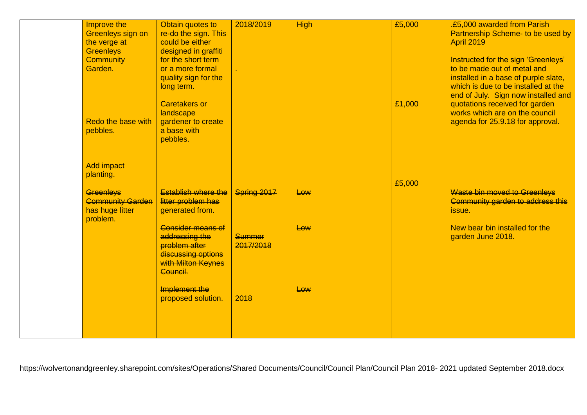| Improve the<br><b>Greenleys sign on</b><br>the verge at<br><b>Greenleys</b><br><b>Community</b><br>Garden. | Obtain quotes to<br>re-do the sign. This<br>could be either<br>designed in graffiti<br>for the short term<br>or a more formal<br>quality sign for the<br>long term.<br><b>Caretakers or</b> | 2018/2019                  | <b>High</b> | £5,000<br>£1,000 | .£5,000 awarded from Parish<br>Partnership Scheme- to be used by<br><b>April 2019</b><br>Instructed for the sign 'Greenleys'<br>to be made out of metal and<br>installed in a base of purple slate,<br>which is due to be installed at the<br>end of July. Sign now installed and<br>quotations received for garden |
|------------------------------------------------------------------------------------------------------------|---------------------------------------------------------------------------------------------------------------------------------------------------------------------------------------------|----------------------------|-------------|------------------|---------------------------------------------------------------------------------------------------------------------------------------------------------------------------------------------------------------------------------------------------------------------------------------------------------------------|
| Redo the base with<br>pebbles.                                                                             | landscape<br>gardener to create<br>a base with<br>pebbles.                                                                                                                                  |                            |             |                  | works which are on the council<br>agenda for 25.9.18 for approval.                                                                                                                                                                                                                                                  |
| <b>Add impact</b><br>planting.                                                                             |                                                                                                                                                                                             |                            |             | £5,000           |                                                                                                                                                                                                                                                                                                                     |
| <b>Greenleys</b><br><b>Community Garden</b><br>has huge litter<br>problem.                                 | <b>Establish where the</b><br>litter problem has<br>generated from.                                                                                                                         | Spring 2017                | Low         |                  | Waste bin moved to Greenleys<br>Community garden to address this<br>issue.                                                                                                                                                                                                                                          |
|                                                                                                            | <b>Consider means of</b><br>addressing the<br>problem after<br>discussing options<br>with Milton Keynes<br>Council.                                                                         | <b>Summer</b><br>2017/2018 | Low         |                  | New bear bin installed for the<br>garden June 2018.                                                                                                                                                                                                                                                                 |
|                                                                                                            | Implement the<br>proposed solution.                                                                                                                                                         | 2018                       | Low         |                  |                                                                                                                                                                                                                                                                                                                     |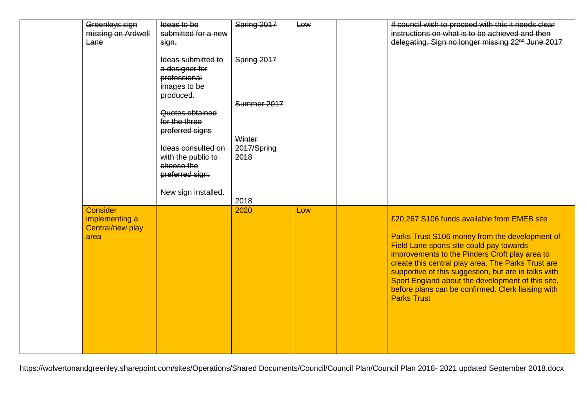| Greenleys sign<br>missing on Ardwell<br>Lane                  | Ideas to be<br>submitted for a new<br>sign.<br>Ideas submitted to         | Spring 2017<br>Spring 2017 | Low | If council wish to proceed with this it needs clear<br>instructions on what is to be achieved and then<br>delegating. Sign no longer missing 22 <sup>nd</sup> June 2017                                                                                                                                                                                                                                                                    |
|---------------------------------------------------------------|---------------------------------------------------------------------------|----------------------------|-----|--------------------------------------------------------------------------------------------------------------------------------------------------------------------------------------------------------------------------------------------------------------------------------------------------------------------------------------------------------------------------------------------------------------------------------------------|
|                                                               | a designer for<br>professional<br>images to be<br>produced.               |                            |     |                                                                                                                                                                                                                                                                                                                                                                                                                                            |
|                                                               | Quotes obtained<br>for the three<br>preferred signs                       | Summer 2017<br>Winter      |     |                                                                                                                                                                                                                                                                                                                                                                                                                                            |
|                                                               | Ideas consulted on<br>with the public to<br>choose the<br>preferred sign. | 2017/Spring<br>2018        |     |                                                                                                                                                                                                                                                                                                                                                                                                                                            |
|                                                               | New sign installed.                                                       | 2018                       |     |                                                                                                                                                                                                                                                                                                                                                                                                                                            |
| <b>Consider</b><br>implementing a<br>Central/new play<br>area |                                                                           | 2020                       | Low | £20,267 S106 funds available from EMEB site<br>Parks Trust S106 money from the development of<br>Field Lane sports site could pay towards<br>improvements to the Pinders Croft play area to<br>create this central play area. The Parks Trust are<br>supportive of this suggestion, but are in talks with<br>Sport England about the development of this site,<br>before plans can be confirmed. Clerk liaising with<br><b>Parks Trust</b> |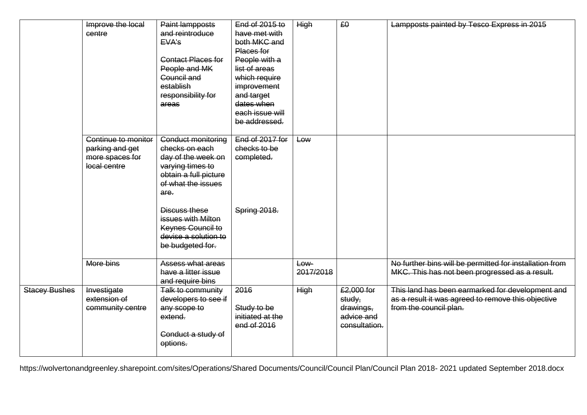|                      | Improve the local<br>centre                                               | Paint lampposts<br>and reintroduce<br>EVA's<br><b>Contact Places for</b><br>People and MK<br>Council and<br>establish<br>responsibility for<br>areas                                                                                                 | End of 2015 to<br>have met with<br>both MKC and<br>Places for<br>People with a<br>list of areas<br>which require<br>improvement<br>and target<br>dates when<br>each issue will<br>be addressed. | <b>High</b>          | £0                                                               | Lampposts painted by Tesco Express in 2015                                                                                       |
|----------------------|---------------------------------------------------------------------------|------------------------------------------------------------------------------------------------------------------------------------------------------------------------------------------------------------------------------------------------------|-------------------------------------------------------------------------------------------------------------------------------------------------------------------------------------------------|----------------------|------------------------------------------------------------------|----------------------------------------------------------------------------------------------------------------------------------|
|                      | Continue to monitor<br>parking and get<br>more spaces for<br>local centre | <b>Conduct monitoring</b><br>checks on each<br>day of the week on<br>varying times to<br>obtain a full picture<br>of what the issues<br>are.<br>Discuss these<br>issues with Milton<br>Keynes Council to<br>devise a solution to<br>be budgeted for. | End of 2017 for<br>checks to be<br>completed.<br>Spring 2018.                                                                                                                                   | Low                  |                                                                  |                                                                                                                                  |
|                      | More bins                                                                 | <b>Assess what areas</b><br>have a litter issue<br>and require bins                                                                                                                                                                                  |                                                                                                                                                                                                 | $Low -$<br>2017/2018 |                                                                  | No further bins will be permitted for installation from<br>MKC. This has not been progressed as a result.                        |
| <b>Stacey Bushes</b> | Investigate<br>extension of<br>community centre                           | Talk to community<br>developers to see if<br>any scope to<br>extend.<br>Conduct a study of<br>options.                                                                                                                                               | 2016<br>Study to be<br>initiated at the<br>end of 2016                                                                                                                                          | <b>High</b>          | £2,000 for<br>study,<br>drawings,<br>advice and<br>consultation. | This land has been earmarked for development and<br>as a result it was agreed to remove this objective<br>from the council plan. |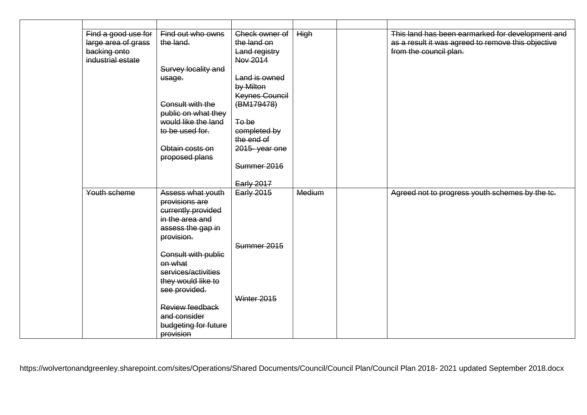| Find a good use for | Find out who owns          | Check owner of    | High   | This land has been earmarked for development and   |
|---------------------|----------------------------|-------------------|--------|----------------------------------------------------|
| large area of grass | the land.                  | the land on       |        | as a result it was agreed to remove this objective |
| backing onto        |                            | Land registry     |        | from the council plan.                             |
| industrial estate   |                            | Nov 2014          |        |                                                    |
|                     | Survey locality and        |                   |        |                                                    |
|                     | usage.                     | Land is owned     |        |                                                    |
|                     |                            | by Milton         |        |                                                    |
|                     |                            | Keynes Council    |        |                                                    |
|                     | Consult with the           | (BM179478)        |        |                                                    |
|                     | public on what they        |                   |        |                                                    |
|                     | would like the land        | To be             |        |                                                    |
|                     | to be used for.            | completed by      |        |                                                    |
|                     |                            | the end of        |        |                                                    |
|                     | Obtain costs on            | 2015-year one     |        |                                                    |
|                     | proposed plans             |                   |        |                                                    |
|                     |                            | Summer 2016       |        |                                                    |
|                     |                            |                   |        |                                                    |
|                     |                            | Early 2017        |        |                                                    |
| Youth scheme        | Assess what youth          | <b>Early 2015</b> | Medium | Agreed not to progress youth schemes by the tc.    |
|                     | provisions are             |                   |        |                                                    |
|                     | currently provided         |                   |        |                                                    |
|                     | in the area and            |                   |        |                                                    |
|                     | assess the gap in          |                   |        |                                                    |
|                     | provision.                 |                   |        |                                                    |
|                     |                            | Summer 2015       |        |                                                    |
|                     | <b>Consult with public</b> |                   |        |                                                    |
|                     | on what                    |                   |        |                                                    |
|                     | services/activities        |                   |        |                                                    |
|                     | they would like to         |                   |        |                                                    |
|                     | see provided.              | Winter 2015       |        |                                                    |
|                     | Review feedback            |                   |        |                                                    |
|                     | and consider               |                   |        |                                                    |
|                     |                            |                   |        |                                                    |
|                     | budgeting for future       |                   |        |                                                    |
|                     | provision                  |                   |        |                                                    |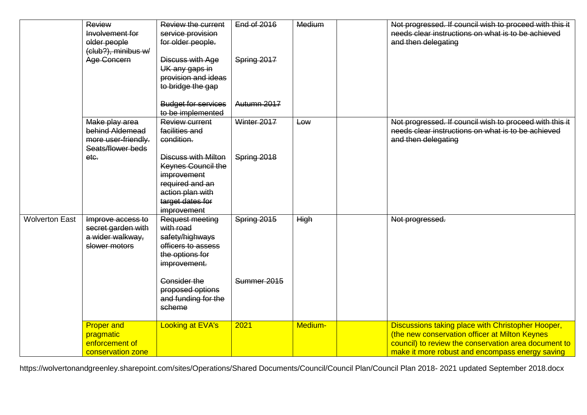|                       | Review<br>Involvement for<br>older people<br>(club?), minibus w/              | <b>Review the current</b><br>service provision<br>for older people.                                                                              | <b>End of 2016</b> | Medium      | Not progressed. If council wish to proceed with this it<br>needs clear instructions on what is to be achieved<br>and then delegating                                                                           |
|-----------------------|-------------------------------------------------------------------------------|--------------------------------------------------------------------------------------------------------------------------------------------------|--------------------|-------------|----------------------------------------------------------------------------------------------------------------------------------------------------------------------------------------------------------------|
|                       | Age Concern                                                                   | Discuss with Age<br>UK any gaps in<br>provision and ideas<br>to bridge the gap                                                                   | Spring 2017        |             |                                                                                                                                                                                                                |
|                       |                                                                               | <b>Budget for services</b><br>to be implemented                                                                                                  | Autumn 2017        |             |                                                                                                                                                                                                                |
|                       | Make play area<br>behind Aldemead<br>more user-friendly.<br>Seats/flower beds | Review current<br>facilities and<br>condition.                                                                                                   | Winter 2017        | Low         | Not progressed. If council wish to proceed with this it<br>needs clear instructions on what is to be achieved<br>and then delegating                                                                           |
|                       | etc.                                                                          | <b>Discuss with Milton</b><br><b>Keynes Council the</b><br>improvement<br>required and an<br>action plan with<br>target dates for<br>improvement | Spring 2018        |             |                                                                                                                                                                                                                |
| <b>Wolverton East</b> | Improve access to<br>secret garden with<br>a wider walkway,<br>slower motors  | <b>Request meeting</b><br>with road<br>safety/highways<br>efficers to assess<br>the options for<br>improvement.                                  | Spring 2015        | <b>High</b> | Not progressed.                                                                                                                                                                                                |
|                       |                                                                               | <b>Consider the</b><br>proposed options<br>and funding for the<br>scheme                                                                         | Summer 2015        |             |                                                                                                                                                                                                                |
|                       | <b>Proper and</b><br>pragmatic<br>enforcement of<br>conservation zone         | <b>Looking at EVA's</b>                                                                                                                          | 2021               | Medium-     | Discussions taking place with Christopher Hooper,<br>(the new conservation officer at Milton Keynes<br>council) to review the conservation area document to<br>make it more robust and encompass energy saving |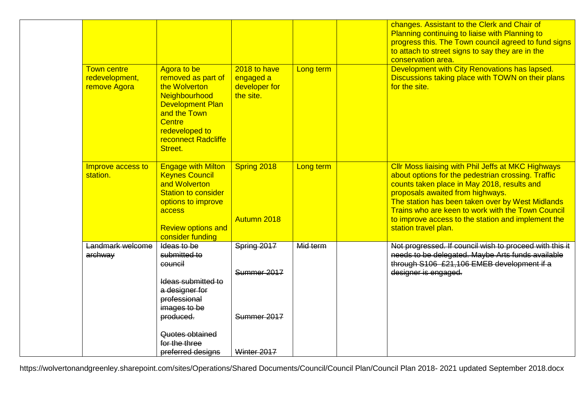|                                                      |                                                                                                                                                                                     |                                                         |           | changes. Assistant to the Clerk and Chair of<br>Planning continuing to liaise with Planning to<br>progress this. The Town council agreed to fund signs<br>to attach to street signs to say they are in the<br>conservation area.                                                                                                                                                          |
|------------------------------------------------------|-------------------------------------------------------------------------------------------------------------------------------------------------------------------------------------|---------------------------------------------------------|-----------|-------------------------------------------------------------------------------------------------------------------------------------------------------------------------------------------------------------------------------------------------------------------------------------------------------------------------------------------------------------------------------------------|
| <b>Town centre</b><br>redevelopment,<br>remove Agora | Agora to be<br>removed as part of<br>the Wolverton<br>Neighbourhood<br><b>Development Plan</b><br>and the Town<br><b>Centre</b><br>redeveloped to<br>reconnect Radcliffe<br>Street. | 2018 to have<br>engaged a<br>developer for<br>the site. | Long term | Development with City Renovations has lapsed.<br>Discussions taking place with TOWN on their plans<br>for the site.                                                                                                                                                                                                                                                                       |
| Improve access to<br>station.                        | <b>Engage with Milton</b><br><b>Keynes Council</b><br>and Wolverton<br><b>Station to consider</b><br>options to improve<br>access<br><b>Review options and</b><br>consider funding  | Spring 2018<br>Autumn 2018                              | Long term | <b>CIIr Moss liaising with Phil Jeffs at MKC Highways</b><br>about options for the pedestrian crossing. Traffic<br>counts taken place in May 2018, results and<br>proposals awaited from highways.<br>The station has been taken over by West Midlands<br>Trains who are keen to work with the Town Council<br>to improve access to the station and implement the<br>station travel plan. |
| Landmark welcome<br>archway                          | Ideas to be<br>submitted to<br>council<br>Ideas submitted to<br>a designer for<br>professional<br>images to be<br>produced.                                                         | Spring 2017<br>Summer 2017<br>Summer 2017               | Mid term  | Not progressed. If council wish to proceed with this it<br>needs to be delegated. Maybe Arts funds available<br>through S106 £21,106 EMEB development if a<br>designer is engaged.                                                                                                                                                                                                        |
|                                                      | Quotes obtained<br>for the three<br>preferred designs                                                                                                                               | Winter 2017                                             |           |                                                                                                                                                                                                                                                                                                                                                                                           |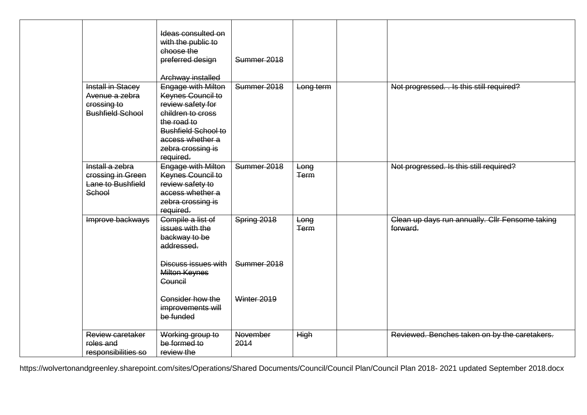|                         | Ideas consulted on<br>with the public to<br>choose the<br>preferred design<br>Archway installed | Summer 2018     |             |                                                 |
|-------------------------|-------------------------------------------------------------------------------------------------|-----------------|-------------|-------------------------------------------------|
| Install in Stacey       | <b>Engage with Milton</b>                                                                       | Summer 2018     | Long term   | Not progressed. . Is this still required?       |
| Avenue a zebra          | <b>Keynes Council to</b>                                                                        |                 |             |                                                 |
| crossing to             | review safety for                                                                               |                 |             |                                                 |
| <b>Bushfield School</b> | children to cross                                                                               |                 |             |                                                 |
|                         | the road to                                                                                     |                 |             |                                                 |
|                         | <b>Bushfield School to</b>                                                                      |                 |             |                                                 |
|                         | access whether a                                                                                |                 |             |                                                 |
|                         | zebra crossing is                                                                               |                 |             |                                                 |
|                         | required.                                                                                       |                 |             |                                                 |
| Install a zebra         | Engage with Milton                                                                              | Summer 2018     | Long        | Not progressed. Is this still required?         |
| crossing in Green       | Keynes Council to                                                                               |                 | <b>Term</b> |                                                 |
| Lane to Bushfield       | review safety to                                                                                |                 |             |                                                 |
| School                  | access whether a                                                                                |                 |             |                                                 |
|                         | zebra crossing is                                                                               |                 |             |                                                 |
|                         | required.                                                                                       |                 |             |                                                 |
| Improve backways        | Compile a list of                                                                               | Spring 2018     | Long        | Clean up days run annually. Cllr Fensome taking |
|                         | issues with the                                                                                 |                 | <b>Term</b> | forward.                                        |
|                         | backway to be                                                                                   |                 |             |                                                 |
|                         | addressed.                                                                                      |                 |             |                                                 |
|                         | Discuss issues with<br><b>Milton Keynes</b><br>Council                                          | Summer 2018     |             |                                                 |
|                         | Consider how the<br>improvements will<br>be funded                                              | Winter 2019     |             |                                                 |
| Review caretaker        | Working group to                                                                                | <b>November</b> | <b>High</b> | Reviewed. Benches taken on by the caretakers.   |
| roles and               | be formed to                                                                                    | 2014            |             |                                                 |
| responsibilities so     | review the                                                                                      |                 |             |                                                 |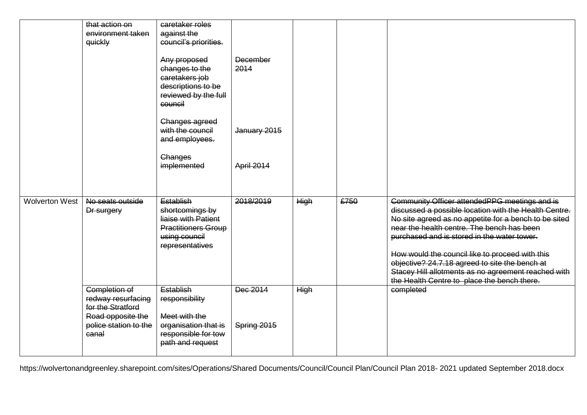|                | that action on        | caretaker roles            |              |             |      |                                                       |
|----------------|-----------------------|----------------------------|--------------|-------------|------|-------------------------------------------------------|
|                | environment taken     | against the                |              |             |      |                                                       |
|                | quickly               | council's priorities.      |              |             |      |                                                       |
|                |                       |                            |              |             |      |                                                       |
|                |                       | Any proposed               | December     |             |      |                                                       |
|                |                       | changes to the             | 2014         |             |      |                                                       |
|                |                       | caretakers job             |              |             |      |                                                       |
|                |                       | descriptions to be         |              |             |      |                                                       |
|                |                       | reviewed by the full       |              |             |      |                                                       |
|                |                       | council                    |              |             |      |                                                       |
|                |                       |                            |              |             |      |                                                       |
|                |                       | Changes agreed             |              |             |      |                                                       |
|                |                       | with the council           | January 2015 |             |      |                                                       |
|                |                       | and employees.             |              |             |      |                                                       |
|                |                       |                            |              |             |      |                                                       |
|                |                       | Changes                    |              |             |      |                                                       |
|                |                       | implemented                | April 2014   |             |      |                                                       |
|                |                       |                            |              |             |      |                                                       |
|                |                       |                            |              |             |      |                                                       |
|                |                       |                            |              |             |      |                                                       |
| Wolverton West | No seats outside      | Establish                  | 2018/2019    | <b>High</b> | £750 | Community Officer attendedPPG meetings and is         |
|                | Dr surgery            | shortcomings by            |              |             |      | discussed a possible location with the Health Centre. |
|                |                       | liaise with Patient        |              |             |      | No site agreed as no appetite for a bench to be sited |
|                |                       | <b>Practitioners Group</b> |              |             |      | near the health centre. The bench has been            |
|                |                       | using council              |              |             |      | purchased and is stored in the water tower.           |
|                |                       | representatives            |              |             |      |                                                       |
|                |                       |                            |              |             |      | How would the council like to proceed with this       |
|                |                       |                            |              |             |      | objective? 24.7.18 agreed to site the bench at        |
|                |                       |                            |              |             |      | Stacey Hill allotments as no agreement reached with   |
|                |                       |                            |              |             |      | the Health Centre to place the bench there.           |
|                |                       |                            |              |             |      |                                                       |
|                | <b>Completion of</b>  | Establish                  | Dec 2014     | <b>High</b> |      | completed                                             |
|                | redway resurfacing    | responsibility             |              |             |      |                                                       |
|                | for the Stratford     |                            |              |             |      |                                                       |
|                | Road opposite the     | Meet with the              |              |             |      |                                                       |
|                | police station to the | organisation that is       | Spring 2015  |             |      |                                                       |
|                | canal                 | responsible for tow        |              |             |      |                                                       |
|                |                       | path and request           |              |             |      |                                                       |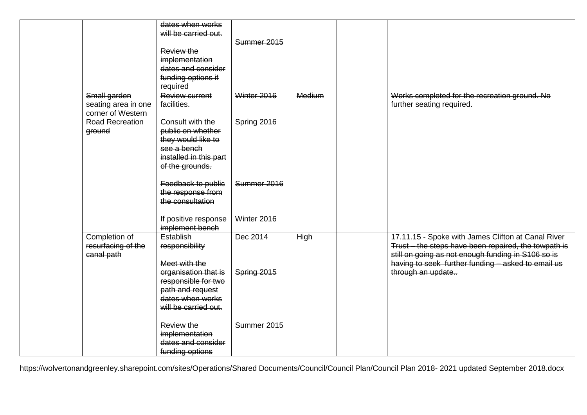|                                                          | dates when works<br>will be carried out.<br>Review the<br>implementation<br>dates and consider<br>funding options if<br>required | Summer 2015 |             |                                                                                                                                                                                                                        |
|----------------------------------------------------------|----------------------------------------------------------------------------------------------------------------------------------|-------------|-------------|------------------------------------------------------------------------------------------------------------------------------------------------------------------------------------------------------------------------|
| Small garden<br>seating area in one<br>corner of Western | <b>Review current</b><br>facilities.                                                                                             | Winter 2016 | Medium      | Works completed for the recreation ground. No<br>further seating required.                                                                                                                                             |
| <b>Road Recreation</b><br>ground                         | Consult with the<br>public on whether<br>they would like to<br>see a bench<br>installed in this part<br>of the grounds.          | Spring 2016 |             |                                                                                                                                                                                                                        |
|                                                          | Feedback to public<br>the response from<br>the consultation                                                                      | Summer 2016 |             |                                                                                                                                                                                                                        |
|                                                          | If positive response<br>implement bench                                                                                          | Winter 2016 |             |                                                                                                                                                                                                                        |
| <b>Completion of</b><br>resurfacing of the<br>canal path | Establish<br>responsibility<br>Meet with the                                                                                     | Dec 2014    | <b>High</b> | 17.11.15 - Spoke with James Clifton at Canal River<br>Trust - the steps have been repaired, the towpath is<br>still on going as not enough funding in S106 so is<br>having to seek further funding - asked to email us |
|                                                          | organisation that is<br>responsible for two<br>path and request<br>dates when works<br>will be carried out.                      | Spring 2015 |             | through an update                                                                                                                                                                                                      |
|                                                          | Review the<br>implementation<br>dates and consider<br>funding options                                                            | Summer 2015 |             |                                                                                                                                                                                                                        |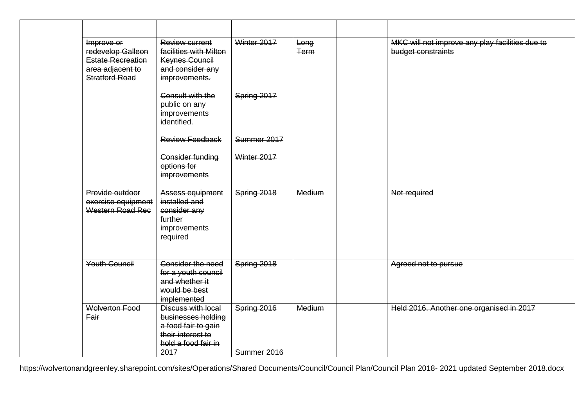| Improve or<br>redevelop Galleon<br><b>Estate Recreation</b><br>area adjacent to<br><b>Stratford Road</b> | <b>Review current</b><br>facilities with Milton<br>Keynes Council<br>and consider any<br>improvements.              | Winter 2017                | Long<br><b>Term</b> | MKC will not improve any play facilities due to<br>budget constraints |
|----------------------------------------------------------------------------------------------------------|---------------------------------------------------------------------------------------------------------------------|----------------------------|---------------------|-----------------------------------------------------------------------|
|                                                                                                          | Consult with the<br>public on any<br>improvements<br>identified.                                                    | Spring 2017                |                     |                                                                       |
|                                                                                                          | <b>Review Feedback</b>                                                                                              | Summer 2017                |                     |                                                                       |
|                                                                                                          | Consider funding<br>options for<br>improvements                                                                     | Winter 2017                |                     |                                                                       |
| Provide outdoor<br>exercise equipment<br>Western Road Rec                                                | Assess equipment<br>installed and<br>consider any<br>further<br><i>improvements</i><br>required                     | Spring 2018                | Medium              | Not required                                                          |
| <b>Youth Council</b>                                                                                     | <b>Consider the need</b><br>for a youth council<br>and whether it<br>would be best<br>implemented                   | Spring 2018                |                     | Agreed not to pursue                                                  |
| <b>Wolverton Food</b><br><b>Fair</b>                                                                     | Discuss with local<br>businesses holding<br>a food fair to gain<br>their interest to<br>hold a food fair in<br>2017 | Spring 2016<br>Summer 2016 | Medium              | Held 2016. Another one organised in 2017                              |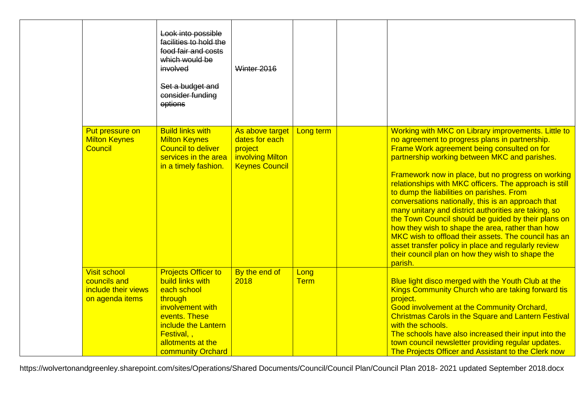|                                                                               | Look into possible<br>facilities to hold the<br>food fair and costs<br>which would be<br>involved<br>Set a budget and<br>consider funding<br>options                                                | Winter 2016                                                                               |                     |                                                                                                                                                                                                                                                                                                                                                                                                                                                                                                                                                                                                                                                                                                                                                                           |
|-------------------------------------------------------------------------------|-----------------------------------------------------------------------------------------------------------------------------------------------------------------------------------------------------|-------------------------------------------------------------------------------------------|---------------------|---------------------------------------------------------------------------------------------------------------------------------------------------------------------------------------------------------------------------------------------------------------------------------------------------------------------------------------------------------------------------------------------------------------------------------------------------------------------------------------------------------------------------------------------------------------------------------------------------------------------------------------------------------------------------------------------------------------------------------------------------------------------------|
| Put pressure on<br><b>Milton Keynes</b><br>Council                            | <b>Build links with</b><br><b>Milton Keynes</b><br><b>Council to deliver</b><br>services in the area<br>in a timely fashion.                                                                        | As above target<br>dates for each<br>project<br>involving Milton<br><b>Keynes Council</b> | Long term           | Working with MKC on Library improvements. Little to<br>no agreement to progress plans in partnership.<br>Frame Work agreement being consulted on for<br>partnership working between MKC and parishes.<br>Framework now in place, but no progress on working<br>relationships with MKC officers. The approach is still<br>to dump the liabilities on parishes. From<br>conversations nationally, this is an approach that<br>many unitary and district authorities are taking, so<br>the Town Council should be guided by their plans on<br>how they wish to shape the area, rather than how<br>MKC wish to offload their assets. The council has an<br>asset transfer policy in place and regularly review<br>their council plan on how they wish to shape the<br>parish. |
| <b>Visit school</b><br>councils and<br>include their views<br>on agenda items | <b>Projects Officer to</b><br><b>build links with</b><br>each school<br>through<br>involvement with<br>events. These<br>include the Lantern<br>Festival,,<br>allotments at the<br>community Orchard | By the end of<br>2018                                                                     | Long<br><b>Term</b> | Blue light disco merged with the Youth Club at the<br>Kings Community Church who are taking forward tis<br>project.<br><b>Good involvement at the Community Orchard,</b><br><b>Christmas Carols in the Square and Lantern Festival</b><br>with the schools.<br>The schools have also increased their input into the<br>town council newsletter providing regular updates.<br>The Projects Officer and Assistant to the Clerk now                                                                                                                                                                                                                                                                                                                                          |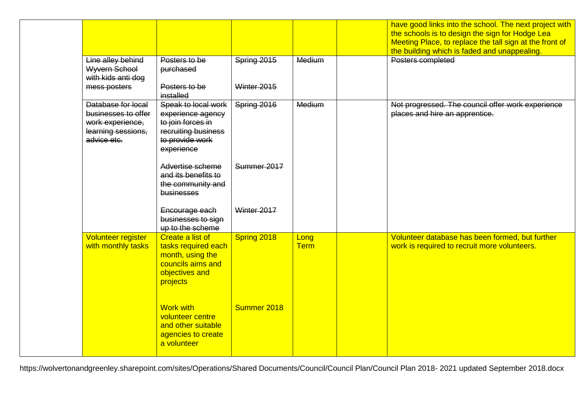|                                                                                                    |                                                                                                                                                                                                     |                            |                     | have good links into the school. The next project with<br>the schools is to design the sign for Hodge Lea<br>Meeting Place, to replace the tall sign at the front of<br>the building which is faded and unappealing. |
|----------------------------------------------------------------------------------------------------|-----------------------------------------------------------------------------------------------------------------------------------------------------------------------------------------------------|----------------------------|---------------------|----------------------------------------------------------------------------------------------------------------------------------------------------------------------------------------------------------------------|
| Line alley behind<br><b>Wyvern School</b><br>with kids anti dog<br>mess posters                    | Posters to be<br>purchased<br>Posters to be<br>installed                                                                                                                                            | Spring 2015<br>Winter 2015 | Medium              | Posters completed                                                                                                                                                                                                    |
| Database for local<br>businesses to offer<br>work experience,<br>learning sessions,<br>advice etc. | Speak to local work<br>experience agency<br>to join forces in<br>recruiting business<br>to provide work<br>experience<br>Advertise scheme<br>and its benefits to<br>the community and<br>businesses | Spring 2016<br>Summer 2017 | Medium              | Not progressed. The council offer work experience<br>places and hire an apprentice.                                                                                                                                  |
|                                                                                                    | Encourage each<br>businesses to sign<br>up to the scheme                                                                                                                                            | Winter 2017                |                     |                                                                                                                                                                                                                      |
| <b>Volunteer register</b><br>with monthly tasks                                                    | Create a list of<br>tasks required each<br>month, using the<br>councils aims and<br>objectives and<br>projects                                                                                      | Spring 2018                | Long<br><b>Term</b> | Volunteer database has been formed, but further<br>work is required to recruit more volunteers.                                                                                                                      |
|                                                                                                    | <b>Work with</b><br>volunteer centre<br>and other suitable<br>agencies to create<br>a volunteer                                                                                                     | Summer 2018                |                     |                                                                                                                                                                                                                      |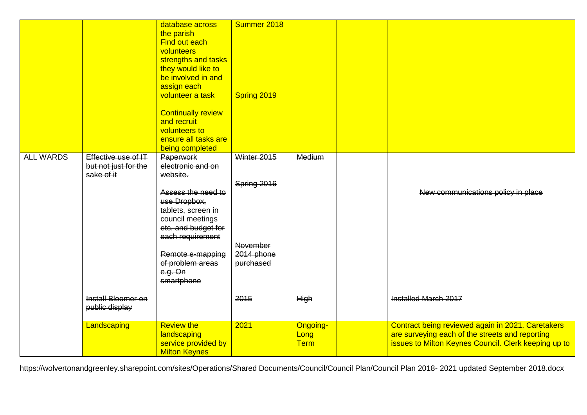|                  |                                                           | database across<br>the parish<br>Find out each<br>volunteers<br>strengths and tasks<br>they would like to<br>be involved in and<br>assign each<br>volunteer a task<br><b>Continually review</b><br>and recruit<br>volunteers to<br>ensure all tasks are<br>being completed | Summer 2018<br>Spring 2019                                               |                                        |                                                                                                                                                              |
|------------------|-----------------------------------------------------------|----------------------------------------------------------------------------------------------------------------------------------------------------------------------------------------------------------------------------------------------------------------------------|--------------------------------------------------------------------------|----------------------------------------|--------------------------------------------------------------------------------------------------------------------------------------------------------------|
| <b>ALL WARDS</b> | Effective use of IT<br>but not just for the<br>sake of it | Paperwork<br>electronic and on<br>website.<br>Assess the need to<br>use Dropbox,<br>tablets, screen in<br>council meetings<br>etc. and budget for<br>each requirement<br>Remote e-mapping<br>of problem areas<br>e.g. On<br>smartphone                                     | Winter 2015<br>Spring 2016<br><b>November</b><br>2014 phone<br>purchased | Medium                                 | New communications policy in place                                                                                                                           |
|                  | <b>Install Bloomer on</b><br>public display               |                                                                                                                                                                                                                                                                            | 2015                                                                     | <b>High</b>                            | Installed March 2017                                                                                                                                         |
|                  | Landscaping                                               | <b>Review the</b><br>landscaping<br>service provided by<br><b>Milton Keynes</b>                                                                                                                                                                                            | 2021                                                                     | <b>Ongoing-</b><br>Long<br><b>Term</b> | Contract being reviewed again in 2021. Caretakers<br>are surveying each of the streets and reporting<br>issues to Milton Keynes Council. Clerk keeping up to |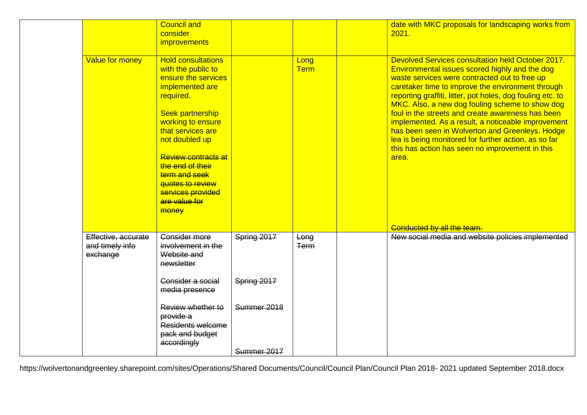| <b>Council and</b><br>consider<br>2021.<br><i>improvements</i><br>Value for money<br><b>Hold consultations</b><br>Long<br><b>Term</b><br>with the public to<br>ensure the services<br>implemented are<br>required.<br><b>Seek partnership</b><br>working to ensure<br>that services are<br>not doubled up<br><b>Review contracts at</b><br>area.<br>the end of their<br>term and seek<br>quotes to review<br>services provided<br>are value for<br>money<br>Conducted by all the team.<br>Effective, accurate<br><b>Consider more</b><br>Spring 2017<br>Long<br>involvement in the<br>and timely info<br><b>Term</b><br>Website and<br>exchange<br>newsletter<br>Spring 2017<br>Consider a social<br>media presence<br>Summer 2018<br>Review whether to |           |  |                                                                                                                                                                                                                                                                                                                                                                                                                                                                                                                                                                                                     |
|---------------------------------------------------------------------------------------------------------------------------------------------------------------------------------------------------------------------------------------------------------------------------------------------------------------------------------------------------------------------------------------------------------------------------------------------------------------------------------------------------------------------------------------------------------------------------------------------------------------------------------------------------------------------------------------------------------------------------------------------------------|-----------|--|-----------------------------------------------------------------------------------------------------------------------------------------------------------------------------------------------------------------------------------------------------------------------------------------------------------------------------------------------------------------------------------------------------------------------------------------------------------------------------------------------------------------------------------------------------------------------------------------------------|
|                                                                                                                                                                                                                                                                                                                                                                                                                                                                                                                                                                                                                                                                                                                                                         |           |  | date with MKC proposals for landscaping works from                                                                                                                                                                                                                                                                                                                                                                                                                                                                                                                                                  |
|                                                                                                                                                                                                                                                                                                                                                                                                                                                                                                                                                                                                                                                                                                                                                         |           |  | Devolved Services consultation held October 2017.<br>Environmental issues scored highly and the dog<br>waste services were contracted out to free up<br>caretaker time to improve the environment through<br>reporting graffiti, litter, pot holes, dog fouling etc. to<br>MKC. Also, a new dog fouling scheme to show dog<br>foul in the streets and create awareness has been<br>implemented. As a result, a noticeable improvement<br>has been seen in Wolverton and Greenleys. Hodge<br>lea is being monitored for further action, as so far<br>this has action has seen no improvement in this |
|                                                                                                                                                                                                                                                                                                                                                                                                                                                                                                                                                                                                                                                                                                                                                         |           |  |                                                                                                                                                                                                                                                                                                                                                                                                                                                                                                                                                                                                     |
|                                                                                                                                                                                                                                                                                                                                                                                                                                                                                                                                                                                                                                                                                                                                                         |           |  | New social media and website policies implemented                                                                                                                                                                                                                                                                                                                                                                                                                                                                                                                                                   |
|                                                                                                                                                                                                                                                                                                                                                                                                                                                                                                                                                                                                                                                                                                                                                         |           |  |                                                                                                                                                                                                                                                                                                                                                                                                                                                                                                                                                                                                     |
| Residents welcome<br>pack and budget<br>accordingly<br>Summer 2017                                                                                                                                                                                                                                                                                                                                                                                                                                                                                                                                                                                                                                                                                      | provide a |  |                                                                                                                                                                                                                                                                                                                                                                                                                                                                                                                                                                                                     |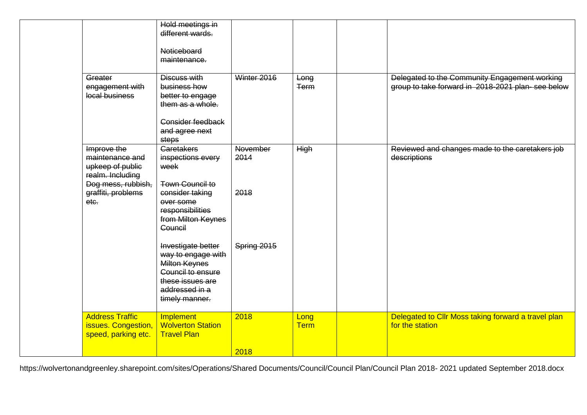|                                                                        | Hold meetings in                                                                                                                              |                         |                     |                                                                                                    |
|------------------------------------------------------------------------|-----------------------------------------------------------------------------------------------------------------------------------------------|-------------------------|---------------------|----------------------------------------------------------------------------------------------------|
|                                                                        | different wards.                                                                                                                              |                         |                     |                                                                                                    |
|                                                                        | Noticeboard<br>maintenance.                                                                                                                   |                         |                     |                                                                                                    |
| Greater<br>engagement with<br>local business                           | Discuss with<br>business how<br>better to engage<br>them as a whole.                                                                          | Winter 2016             | Long<br><b>Term</b> | Delegated to the Community Engagement working<br>group to take forward in 2018-2021 plan-see below |
|                                                                        | Consider feedback<br>and agree next<br>steps                                                                                                  |                         |                     |                                                                                                    |
| Improve the<br>maintenance and<br>upkeep of public<br>realm. Including | <b>Caretakers</b><br>inspections every<br>week                                                                                                | <b>November</b><br>2014 | <b>High</b>         | Reviewed and changes made to the caretakers job<br>descriptions                                    |
| Dog mess, rubbish,<br>graffiti, problems<br>etc.                       | <b>Town Council to</b><br>consider taking<br>over some<br>responsibilities<br>from Milton Keynes<br>Council                                   | 2018                    |                     |                                                                                                    |
|                                                                        | Investigate better<br>way to engage with<br>Milton Keynes<br><b>Council to ensure</b><br>these issues are<br>addressed in a<br>timely manner. | Spring 2015             |                     |                                                                                                    |
| <b>Address Traffic</b><br>issues. Congestion,<br>speed, parking etc.   | Implement<br><b>Wolverton Station</b><br><b>Travel Plan</b>                                                                                   | 2018                    | Long<br><b>Term</b> | Delegated to Cllr Moss taking forward a travel plan<br>for the station                             |
|                                                                        |                                                                                                                                               | 2018                    |                     |                                                                                                    |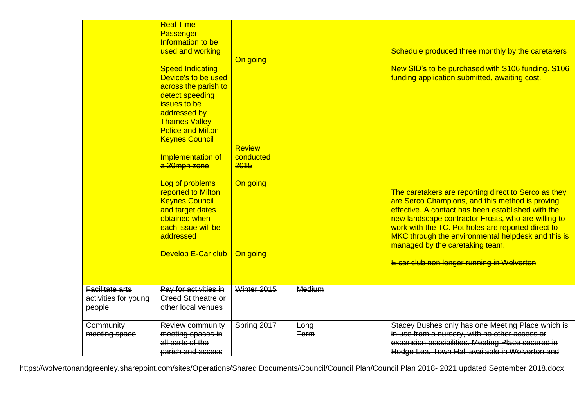|                                                   | <b>Real Time</b><br>Passenger<br>Information to be<br>used and working<br><b>Speed Indicating</b><br>Device's to be used<br>across the parish to<br>detect speeding<br>issues to be<br>addressed by<br><b>Thames Valley</b><br><b>Police and Milton</b><br><b>Keynes Council</b><br>Implementation of<br>a 20mph zone<br>Log of problems<br>reported to Milton<br><b>Keynes Council</b><br>and target dates<br>obtained when<br>each issue will be<br>addressed | On going<br>Review<br>conducted<br>2015<br>On going |                     | Schedule produced three monthly by the caretakers<br>New SID's to be purchased with S106 funding. S106<br>funding application submitted, awaiting cost.<br>The caretakers are reporting direct to Serco as they<br>are Serco Champions, and this method is proving<br>effective. A contact has been established with the<br>new landscape contractor Frosts, who are willing to<br>work with the TC. Pot holes are reported direct to<br>MKC through the environmental helpdesk and this is<br>managed by the caretaking team. |
|---------------------------------------------------|-----------------------------------------------------------------------------------------------------------------------------------------------------------------------------------------------------------------------------------------------------------------------------------------------------------------------------------------------------------------------------------------------------------------------------------------------------------------|-----------------------------------------------------|---------------------|--------------------------------------------------------------------------------------------------------------------------------------------------------------------------------------------------------------------------------------------------------------------------------------------------------------------------------------------------------------------------------------------------------------------------------------------------------------------------------------------------------------------------------|
|                                                   | Develop E-Car club                                                                                                                                                                                                                                                                                                                                                                                                                                              | On going                                            |                     | E car club non longer running in Wolverton                                                                                                                                                                                                                                                                                                                                                                                                                                                                                     |
| Facilitate arts<br>activities for young<br>people | Pay for activities in<br><b>Creed St theatre or</b><br>other local venues                                                                                                                                                                                                                                                                                                                                                                                       | Winter 2015                                         | Medium              |                                                                                                                                                                                                                                                                                                                                                                                                                                                                                                                                |
| <b>Community</b><br>meeting space                 | Review community<br>meeting spaces in<br>all parts of the<br>parish and access                                                                                                                                                                                                                                                                                                                                                                                  | Spring 2017                                         | Long<br><b>Term</b> | Stacey Bushes only has one Meeting Place which is<br>in use from a nursery, with no other access or<br>expansion possibilities. Meeting Place secured in<br>Hodge Lea. Town Hall available in Wolverton and                                                                                                                                                                                                                                                                                                                    |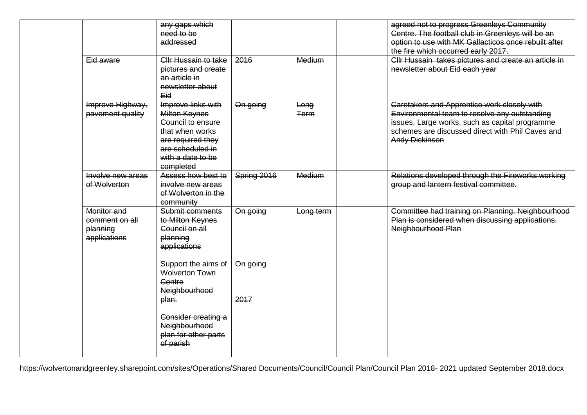|                                                           | any gaps which<br>need to be<br>addressed                                                                                                                            |             |                     | agreed not to progress Greenleys Community<br>Centre. The football club in Greenleys will be an<br>option to use with MK Gallacticos once rebuilt after<br>the fire which occurred early 2017.                                     |
|-----------------------------------------------------------|----------------------------------------------------------------------------------------------------------------------------------------------------------------------|-------------|---------------------|------------------------------------------------------------------------------------------------------------------------------------------------------------------------------------------------------------------------------------|
| Eid aware                                                 | Cllr Hussain to take<br>pictures and create<br>an article in<br>newsletter about<br>Eid                                                                              | 2016        | Medium              | Cllr Hussain takes pictures and create an article in<br>newsletter about Eid each year                                                                                                                                             |
| Improve Highway,<br>pavement quality                      | Improve links with<br><b>Milton Keynes</b><br><b>Council to ensure</b><br>that when works<br>are required they<br>are scheduled in<br>with a date to be<br>completed | On going    | Long<br><b>Term</b> | <b>Caretakers and Apprentice work closely with</b><br>Environmental team to resolve any outstanding<br>issues. Large works, such as capital programme<br>schemes are discussed direct with Phil Caves and<br><b>Andy Dickinson</b> |
| Involve new areas<br>of Wolverton                         | Assess how best to<br>involve new areas<br>of Wolverton in the<br>community                                                                                          | Spring 2016 | Medium              | Relations developed through the Fireworks working<br>group and lantern festival committee.                                                                                                                                         |
| Monitor and<br>comment on all<br>planning<br>applications | Submit comments<br>to Milton Keynes<br>Council on all<br>planning<br>applications                                                                                    | On going    | Long term           | Committee had training on Planning. Neighbourhood<br>Plan is considered when discussing applications.<br>Neighbourhood Plan                                                                                                        |
|                                                           | Support the aims of<br><b>Wolverton Town</b><br><b>Centre</b><br>Neighbourhood                                                                                       | On going    |                     |                                                                                                                                                                                                                                    |
|                                                           | plan.<br>Consider creating a<br>Neighbourhood<br>plan for other parts<br>of parish                                                                                   | 2017        |                     |                                                                                                                                                                                                                                    |